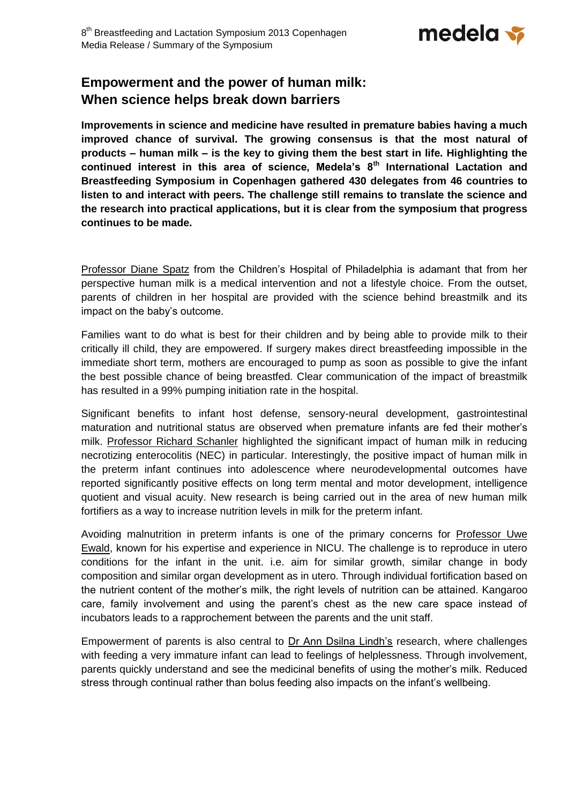

## **Empowerment and the power of human milk: When science helps break down barriers**

**Improvements in science and medicine have resulted in premature babies having a much improved chance of survival. The growing consensus is that the most natural of products – human milk – is the key to giving them the best start in life. Highlighting the continued interest in this area of science, Medela's 8th International Lactation and Breastfeeding Symposium in Copenhagen gathered 430 delegates from 46 countries to listen to and interact with peers. The challenge still remains to translate the science and the research into practical applications, but it is clear from the symposium that progress continues to be made.**

[Professor Diane Spatz](http://www.medela.com/IW/en/breastfeeding/for-professionals/congress2013/speakers/speaker-spatz.html) from the Children's Hospital of Philadelphia is adamant that from her perspective human milk is a medical intervention and not a lifestyle choice. From the outset, parents of children in her hospital are provided with the science behind breastmilk and its impact on the baby's outcome.

Families want to do what is best for their children and by being able to provide milk to their critically ill child, they are empowered. If surgery makes direct breastfeeding impossible in the immediate short term, mothers are encouraged to pump as soon as possible to give the infant the best possible chance of being breastfed. Clear communication of the impact of breastmilk has resulted in a 99% pumping initiation rate in the hospital.

Significant benefits to infant host defense, sensory-neural development, gastrointestinal maturation and nutritional status are observed when premature infants are fed their mother's milk. [Professor Richard Schanler](http://www.medela.com/IW/en/breastfeeding/for-professionals/congress2013/speakers/speaker-schanler.html) highlighted the significant impact of human milk in reducing necrotizing enterocolitis (NEC) in particular. Interestingly, the positive impact of human milk in the preterm infant continues into adolescence where neurodevelopmental outcomes have reported significantly positive effects on long term mental and motor development, intelligence quotient and visual acuity. New research is being carried out in the area of new human milk fortifiers as a way to increase nutrition levels in milk for the preterm infant.

Avoiding malnutrition in preterm infants is one of the primary concerns for Professor Uwe [Ewald,](http://www.medela.com/IW/en/breastfeeding/for-professionals/congress2013/speakers/speaker-ewald.html) known for his expertise and experience in NICU. The challenge is to reproduce in utero conditions for the infant in the unit. i.e. aim for similar growth, similar change in body composition and similar organ development as in utero. Through individual fortification based on the nutrient content of the mother's milk, the right levels of nutrition can be attained. Kangaroo care, family involvement and using the parent's chest as the new care space instead of incubators leads to a rapprochement between the parents and the unit staff.

Empowerment of parents is also central to [Dr Ann Dsilna Lindh's](http://www.medela.com/IW/en/breastfeeding/for-professionals/congress2013/speakers/speaker-dsilna-lindh.html) research, where challenges with feeding a very immature infant can lead to feelings of helplessness. Through involvement, parents quickly understand and see the medicinal benefits of using the mother's milk. Reduced stress through continual rather than bolus feeding also impacts on the infant's wellbeing.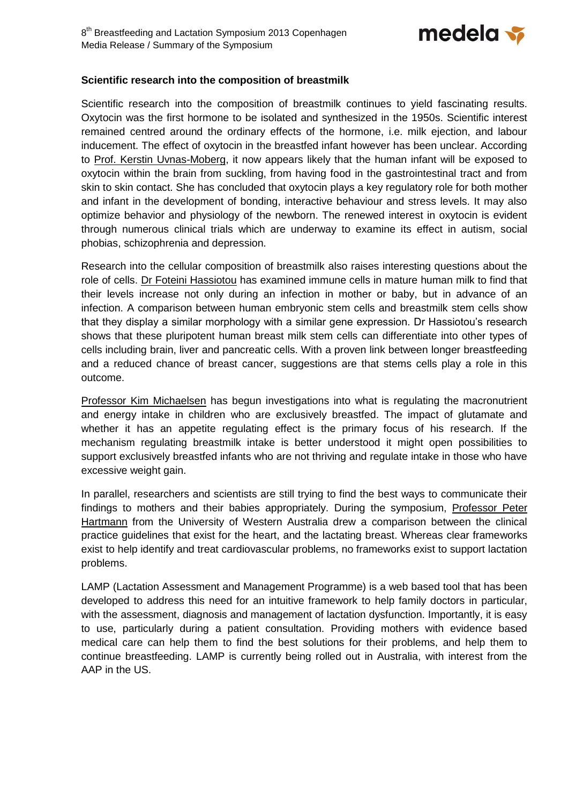

## **Scientific research into the composition of breastmilk**

Scientific research into the composition of breastmilk continues to yield fascinating results. Oxytocin was the first hormone to be isolated and synthesized in the 1950s. Scientific interest remained centred around the ordinary effects of the hormone, i.e. milk ejection, and labour inducement. The effect of oxytocin in the breastfed infant however has been unclear. According to [Prof. Kerstin Uvnas-Moberg,](http://www.medela.com/IW/en/breastfeeding/for-professionals/congress2013/speakers/speaker-uvnas-moberg.html) it now appears likely that the human infant will be exposed to oxytocin within the brain from suckling, from having food in the gastrointestinal tract and from skin to skin contact. She has concluded that oxytocin plays a key regulatory role for both mother and infant in the development of bonding, interactive behaviour and stress levels. It may also optimize behavior and physiology of the newborn. The renewed interest in oxytocin is evident through numerous clinical trials which are underway to examine its effect in autism, social phobias, schizophrenia and depression.

Research into the cellular composition of breastmilk also raises interesting questions about the role of cells. [Dr Foteini Hassiotou](http://www.medela.com/IW/en/breastfeeding/for-professionals/congress2013/speakers/speaker-hassiotou.html) has examined immune cells in mature human milk to find that their levels increase not only during an infection in mother or baby, but in advance of an infection. A comparison between human embryonic stem cells and breastmilk stem cells show that they display a similar morphology with a similar gene expression. Dr Hassiotou's research shows that these pluripotent human breast milk stem cells can differentiate into other types of cells including brain, liver and pancreatic cells. With a proven link between longer breastfeeding and a reduced chance of breast cancer, suggestions are that stems cells play a role in this outcome.

[Professor Kim Michaelsen](http://www.medela.com/IW/en/breastfeeding/for-professionals/congress2013/speakers/speaker-michaelsen.html) has begun investigations into what is regulating the macronutrient and energy intake in children who are exclusively breastfed. The impact of glutamate and whether it has an appetite regulating effect is the primary focus of his research. If the mechanism regulating breastmilk intake is better understood it might open possibilities to support exclusively breastfed infants who are not thriving and regulate intake in those who have excessive weight gain.

In parallel, researchers and scientists are still trying to find the best ways to communicate their findings to mothers and their babies appropriately. During the symposium, [Professor Peter](http://www.medela.com/IW/en/breastfeeding/for-professionals/congress2013/speakers/speaker-hartmann.html)  [Hartmann](http://www.medela.com/IW/en/breastfeeding/for-professionals/congress2013/speakers/speaker-hartmann.html) from the University of Western Australia drew a comparison between the clinical practice guidelines that exist for the heart, and the lactating breast. Whereas clear frameworks exist to help identify and treat cardiovascular problems, no frameworks exist to support lactation problems.

LAMP (Lactation Assessment and Management Programme) is a web based tool that has been developed to address this need for an intuitive framework to help family doctors in particular, with the assessment, diagnosis and management of lactation dysfunction. Importantly, it is easy to use, particularly during a patient consultation. Providing mothers with evidence based medical care can help them to find the best solutions for their problems, and help them to continue breastfeeding. LAMP is currently being rolled out in Australia, with interest from the AAP in the US.